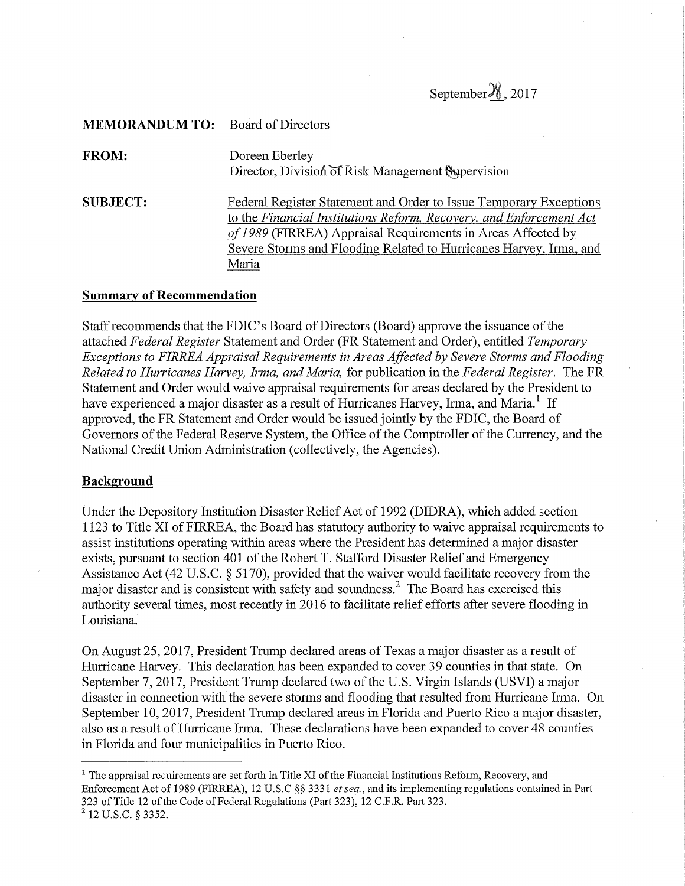September $\frac{\mathcal{Y}}{\mathcal{Y}}$ , 2017

| <b>MEMORANDUM TO:</b> Board of Directors |                                                                                                                                                                                                                                                                                          |
|------------------------------------------|------------------------------------------------------------------------------------------------------------------------------------------------------------------------------------------------------------------------------------------------------------------------------------------|
| <b>FROM:</b>                             | Doreen Eberley<br>Director, Division of Risk Management Supervision                                                                                                                                                                                                                      |
| <b>SUBJECT:</b>                          | Federal Register Statement and Order to Issue Temporary Exceptions<br>to the Financial Institutions Reform, Recovery, and Enforcement Act<br>of 1989 (FIRREA) Appraisal Requirements in Areas Affected by<br>Severe Storms and Flooding Related to Hurricanes Harvey, Irma, and<br>Maria |

## Summary of Recommendation

Staff recommends that the FDIC's Board of Directors (Board) approve the issuance of the attached Federal Register Statement and Order (FR Statement and Order), entitled Temporary Exceptions to FIRREA Appraisal Requirements in Areas Affected by Severe Storms and Flooding Related to Hurricanes Harvey, Irma, and Maria, for publication in the Federal Register. The FR Statement and Order would waive appraisal requirements for areas declared by the President to have experienced a major disaster as a result of Hurricanes Harvey, Irma, and Maria.<sup>1</sup> If approved, the FR Statement and Order would be issued jointly by the FDIC, the Board of Governors of the Federal Reserve System, the Office of the Comptroller of the Currency, and the National Credit Union Administration (collectively, the Agencies).

### Background

Under the Depository Institution Disaster Relief Act of 1992 (DIDRA), which added section 1123 to Title XI of FIRREA, the Board has statutory authority to waive appraisal requirements to assist institutions operating within areas where the President has determined a major disaster exists, pursuant to section 401 of the Robert T. Stafford Disaster Relief and Emergency Assistance Act (42 U.S.C. § 5170), provided that the waiver would facilitate recovery from the major disaster and is consistent with safety and soundness.2 The Board has exercised this authority several times, most recently in 2016 to facilitate relief efforts after severe flooding in Louisiana.

On August 25, 2017, President Trump declared areas of Texas a major disaster as a result of Hurricane Harvey. This declaration has been expanded to cover 39 counties in that state. On September 7, 2017, President Trump declared two of the U.S. Virgin Islands (USVI) a major disaster in connection with the severe storms and flooding that resulted from Hurricane Irma. On September 10, 2017, President Trump declared areas in Florida and Puerto Rico a major disaster, also as a result of Hurricane Irma. These declarations have been expanded to cover 48 counties in Florida and four municipalities in Puerto Rico.

 $1$  The appraisal requirements are set forth in Title XI of the Financial Institutions Reform, Recovery, and Enforcement Act of 1989 (FIRREA), 12 U.S.C §§ 3331 et seq., and its implementing regulations contained in Part 323 of Title 12 of the Code of Federal Regulations (Part 323), 12 C.F.R. Part 323.

 $^{2}$  12 U.S.C. § 3352.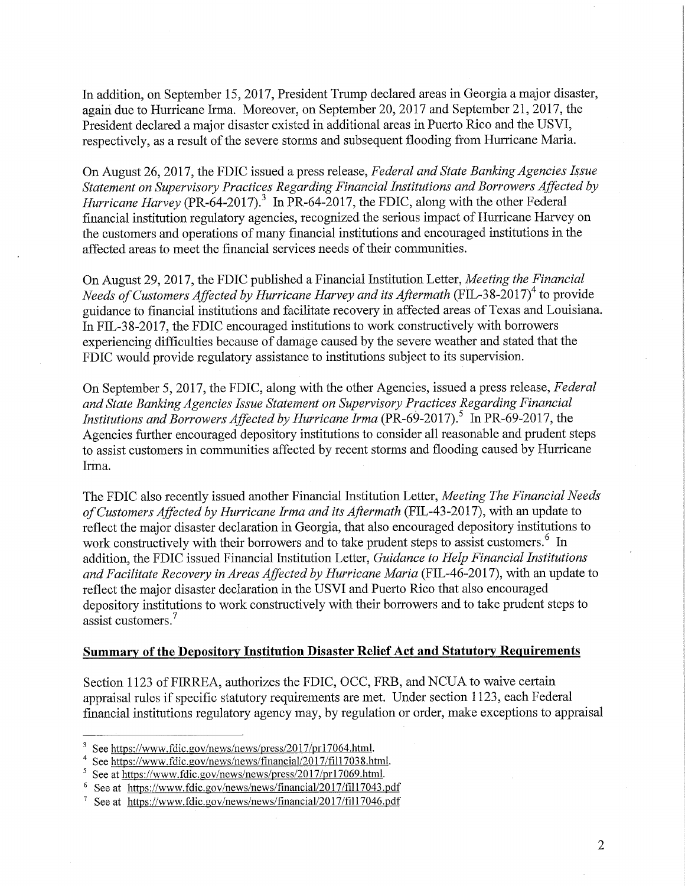In addition, on September 15, 2017, President Trump declared areas in Georgia a major disaster, again due to Hurricane Irma. Moreover, on September 20, 2017 and September 21, 2017, the President declared a major disaster existed in additional areas in Puerto Rico and the USVI, respectively, as a result of the severe storms and subsequent flooding from Hurricane Maria.

On August 26, 2017, the FDIC issued a press release, Federal and State Banking Agencies Issue Statement on Supervisory Practices Regarding Financial Institutions and Borrowers Affected by Hurricane Harvey (PR-64-2017).<sup>3</sup> In PR-64-2017, the FDIC, along with the other Federal financial institution regulatory agencies, recognized the serious impact of Hurricane Harvey on the customers and operations of many financial institutions and encouraged institutions in the affected areas to meet the financial services needs of their communities.

On August 29, 2017, the FDIC published a Financial Institution Letter, Meeting the Financial Needs of Customers Affected by Hurricane Harvey and its Aftermath (FIL-38-2017)<sup>4</sup> to provide guidance to financial institutions and facilitate recovery in affected areas of Texas and Louisiana. In FIL-38-2017, the FDIC encouraged institutions to work constructively with borrowers experiencing difficulties because of damage caused by the severe weather and stated that the FDIC would provide regulatory assistance to institutions subject to its supervision.

On September 5, 2017, the FDIC, along with the other Agencies, issued a press release, Federal and State Banking Agencies Issue Statement on Supervisory Practices Regarding Financial Institutions and Borrowers Affected by Hurricane Irma (PR-69-2017).<sup>5</sup> In PR-69-2017, the Agencies further encouraged depository institutions to consider all reasonable and prudent steps to assist customers in communities affected by recent storms and flooding caused by Hurricane Irma.

The FDIC also recently issued another Financial Institution Letter, Meeting The Financial Needs of Customers Affected by Hurricane Irma and its Aftermath (FIL-43-2017), with an update to reflect the major disaster declaration in Georgia, that also encouraged depository institutions to work constructively with their borrowers and to take prudent steps to assist customers.<sup>6</sup> In addition, the FDIC issued Financial Institution Letter, Guidance to Help Financial Institutions and Facilitate Recovery in Areas Affected by Hurricane Maria (FIL-46-2017), with an update to reflect the major disaster declaration in the USVI and Puerto Rico that also encouraged depository institutions to work constructively with their borrowers and to take prudent steps to assist customers.<sup>7</sup>

### Summary of the Depository Institution Disaster Relief Act and Statutory Requirements

Section 1123 of FIRREA, authorizes the FDIC, OCC, FRB, and NCUA to waive certain appraisal rules if specific statutory requirements are met. Under section 1123, each Federal financial institutions regulatory agency may, by regulation or order, make exceptions to appraisal

 $3$  See https://www.fdic.gov/news/news/press/2017/pr17064.html.

See https://www.fdic.gov/news/news/financial/2017/fil17038.html.

See at https://www.fdic.gov/news/news/press/2017/pr17069.html.

<sup>&</sup>lt;sup>6</sup> See at https://www.fdic.gov/news/news/financial/2017/fil17043.pdf

See at https://www.fdic.gov/news/news/financial/2017/fil17046.pdf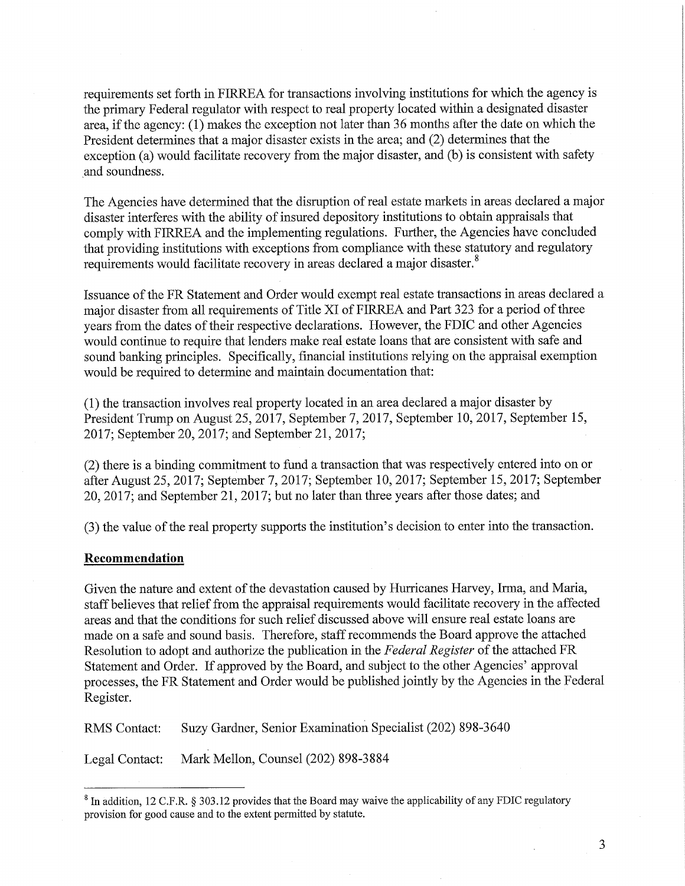requirements set forth in FIRREA for transactions involving institutions for which the agency is the primary Federal regulator with respect to real property located within a designated disaster area, if the agency: (1) makes the exception not later than 36 months after the date on which the President determines that a major disaster exists in the area; and (2) determines that the exception (a) would facilitate recovery from the major disaster, and (b) is consistent with safety and soundness.

The Agencies have determined that the disruption of real estate markets in areas declared a major disaster interferes with the ability of insured depository institutions to obtain appraisals that comply with FIRREA and the implementing regulations. Further, the Agencies have concluded that providing institutions with exceptions from compliance with these statutory and regulatory requirements would facilitate recovery in areas declared a major disaster.<sup>8</sup>

Issuance of the FR Statement and Order would exempt real estate transactions in areas declared a major disaster from all requirements of Title XI of FIRREA and Part 323 for a period of three years from the dates of their respective declarations. However, the FDIC and other Agencies would continue to require that lenders make real estate loans that are consistent with safe and sound banking principles. Specifically, financial institutions relying on the appraisal exemption would be required to determine and maintain documentation that:

(1) the transaction involves real property located in an area declared a major disaster by President Trump on August 25, 2017, September 7, 2017, September 10, 2017, September 15, 2017; September 20, 2017; and September 21, 2017;

(2) there is a binding commitment to fund a transaction that was respectively entered into on or after August 25, 2017; September 7, 2017; September 10, 2017; September 15, 2017; September 20, 2017; and September 21, 2017; but no later than three years after those dates; and

(3) the value of the real property supports the institution's decision to enter into the transaction.

### Recommendation

Given the nature and extent of the devastation caused by Hurricanes Harvey, Irma, and Maria, staff believes that relief from the appraisal requirements would facilitate recovery in the affected areas and that the conditions for such relief discussed above will ensure real estate loans are made on a safe and sound basis. Therefore, staff recommends the Board approve the attached Resolution to adopt and authorize the publication in the Federal Register of the attached FR Statement and Order. If approved by the Board, and subject to the other Agencies' approval processes, the FR Statement and Order would be published jointly by the Agencies in the Federal Register.

RMS Contact: Suzy Gardner, Senior Examination Specialist (202) 898-3640

Legal Contact: Mark Mellon, Counsel (202) 898-3884

<sup>&</sup>lt;sup>8</sup> In addition, 12 C.F.R. § 303.12 provides that the Board may waive the applicability of any FDIC regulatory provision for good cause and to the extent permitted by statute.